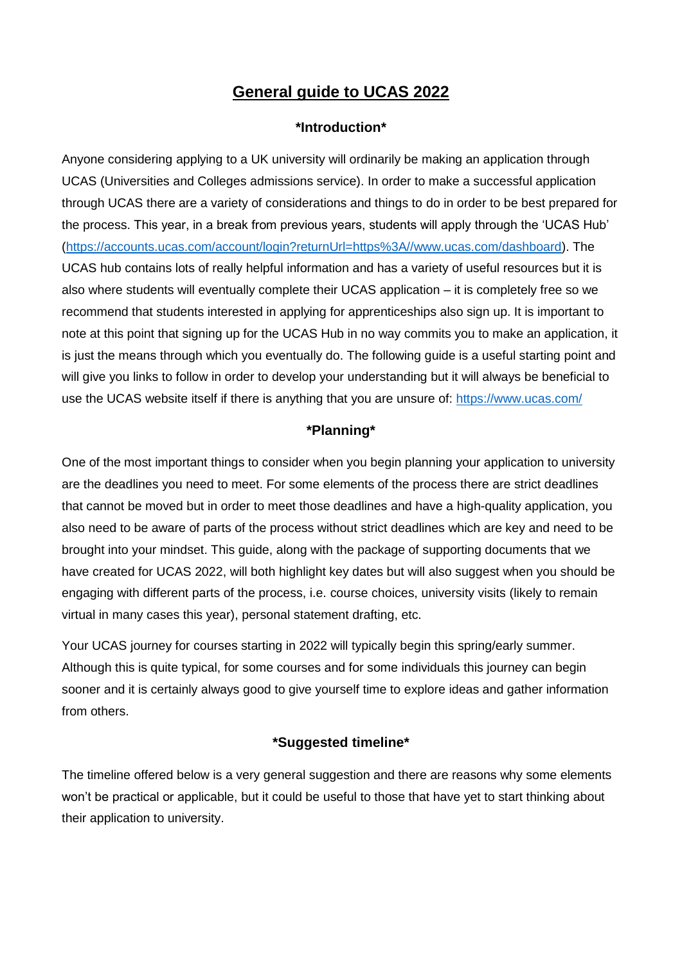# **General guide to UCAS 2022**

### **\*Introduction\***

Anyone considering applying to a UK university will ordinarily be making an application through UCAS (Universities and Colleges admissions service). In order to make a successful application through UCAS there are a variety of considerations and things to do in order to be best prepared for the process. This year, in a break from previous years, students will apply through the 'UCAS Hub' [\(https://accounts.ucas.com/account/login?returnUrl=https%3A//www.ucas.com/dashboard\)](https://accounts.ucas.com/account/login?returnUrl=https%3A//www.ucas.com/dashboard). The UCAS hub contains lots of really helpful information and has a variety of useful resources but it is also where students will eventually complete their UCAS application – it is completely free so we recommend that students interested in applying for apprenticeships also sign up. It is important to note at this point that signing up for the UCAS Hub in no way commits you to make an application, it is just the means through which you eventually do. The following guide is a useful starting point and will give you links to follow in order to develop your understanding but it will always be beneficial to use the UCAS website itself if there is anything that you are unsure of:<https://www.ucas.com/>

# **\*Planning\***

One of the most important things to consider when you begin planning your application to university are the deadlines you need to meet. For some elements of the process there are strict deadlines that cannot be moved but in order to meet those deadlines and have a high-quality application, you also need to be aware of parts of the process without strict deadlines which are key and need to be brought into your mindset. This guide, along with the package of supporting documents that we have created for UCAS 2022, will both highlight key dates but will also suggest when you should be engaging with different parts of the process, i.e. course choices, university visits (likely to remain virtual in many cases this year), personal statement drafting, etc.

Your UCAS journey for courses starting in 2022 will typically begin this spring/early summer. Although this is quite typical, for some courses and for some individuals this journey can begin sooner and it is certainly always good to give yourself time to explore ideas and gather information from others.

# **\*Suggested timeline\***

The timeline offered below is a very general suggestion and there are reasons why some elements won't be practical or applicable, but it could be useful to those that have yet to start thinking about their application to university.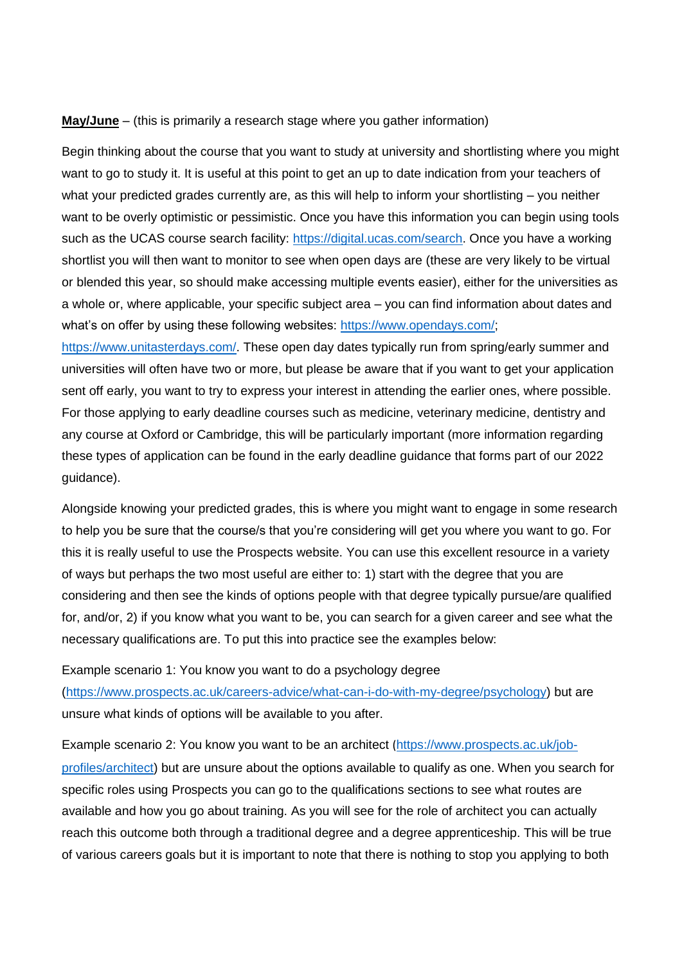#### **May/June** – (this is primarily a research stage where you gather information)

Begin thinking about the course that you want to study at university and shortlisting where you might want to go to study it. It is useful at this point to get an up to date indication from your teachers of what your predicted grades currently are, as this will help to inform your shortlisting – you neither want to be overly optimistic or pessimistic. Once you have this information you can begin using tools such as the UCAS course search facility: [https://digital.ucas.com/search.](https://digital.ucas.com/search) Once you have a working shortlist you will then want to monitor to see when open days are (these are very likely to be virtual or blended this year, so should make accessing multiple events easier), either for the universities as a whole or, where applicable, your specific subject area – you can find information about dates and what's on offer by using these following websites: [https://www.opendays.com/;](https://www.opendays.com/)

[https://www.unitasterdays.com/.](https://www.unitasterdays.com/) These open day dates typically run from spring/early summer and universities will often have two or more, but please be aware that if you want to get your application sent off early, you want to try to express your interest in attending the earlier ones, where possible. For those applying to early deadline courses such as medicine, veterinary medicine, dentistry and any course at Oxford or Cambridge, this will be particularly important (more information regarding these types of application can be found in the early deadline guidance that forms part of our 2022 guidance).

Alongside knowing your predicted grades, this is where you might want to engage in some research to help you be sure that the course/s that you're considering will get you where you want to go. For this it is really useful to use the Prospects website. You can use this excellent resource in a variety of ways but perhaps the two most useful are either to: 1) start with the degree that you are considering and then see the kinds of options people with that degree typically pursue/are qualified for, and/or, 2) if you know what you want to be, you can search for a given career and see what the necessary qualifications are. To put this into practice see the examples below:

Example scenario 1: You know you want to do a psychology degree [\(https://www.prospects.ac.uk/careers-advice/what-can-i-do-with-my-degree/psychology\)](https://www.prospects.ac.uk/careers-advice/what-can-i-do-with-my-degree/psychology) but are unsure what kinds of options will be available to you after.

Example scenario 2: You know you want to be an architect ([https://www.prospects.ac.uk/job](https://www.prospects.ac.uk/job-profiles/architect)[profiles/architect\)](https://www.prospects.ac.uk/job-profiles/architect) but are unsure about the options available to qualify as one. When you search for specific roles using Prospects you can go to the qualifications sections to see what routes are available and how you go about training. As you will see for the role of architect you can actually reach this outcome both through a traditional degree and a degree apprenticeship. This will be true of various careers goals but it is important to note that there is nothing to stop you applying to both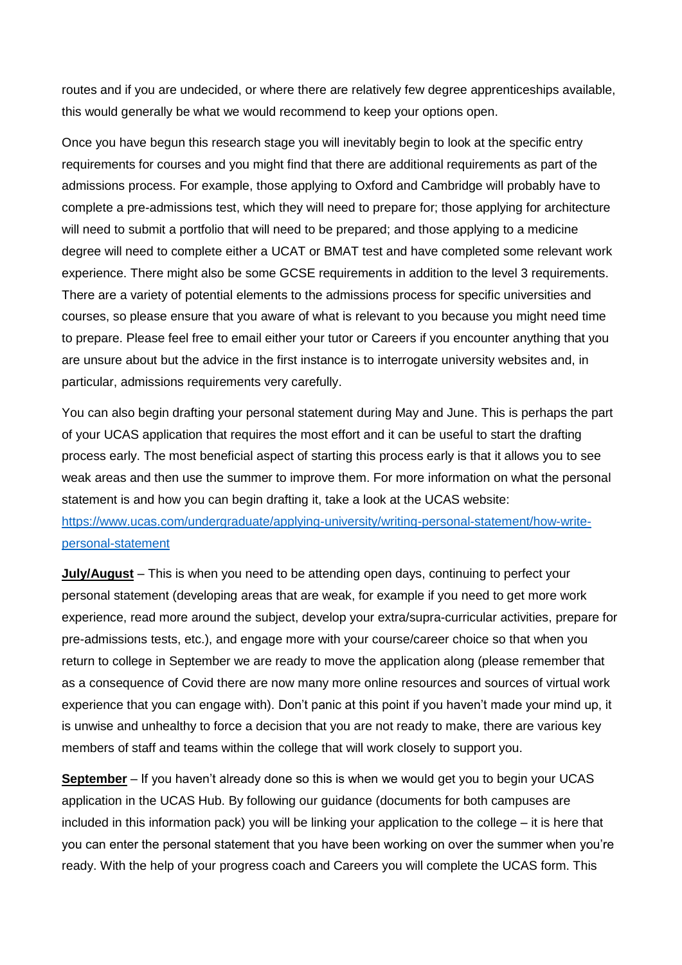routes and if you are undecided, or where there are relatively few degree apprenticeships available, this would generally be what we would recommend to keep your options open.

Once you have begun this research stage you will inevitably begin to look at the specific entry requirements for courses and you might find that there are additional requirements as part of the admissions process. For example, those applying to Oxford and Cambridge will probably have to complete a pre-admissions test, which they will need to prepare for; those applying for architecture will need to submit a portfolio that will need to be prepared; and those applying to a medicine degree will need to complete either a UCAT or BMAT test and have completed some relevant work experience. There might also be some GCSE requirements in addition to the level 3 requirements. There are a variety of potential elements to the admissions process for specific universities and courses, so please ensure that you aware of what is relevant to you because you might need time to prepare. Please feel free to email either your tutor or Careers if you encounter anything that you are unsure about but the advice in the first instance is to interrogate university websites and, in particular, admissions requirements very carefully.

You can also begin drafting your personal statement during May and June. This is perhaps the part of your UCAS application that requires the most effort and it can be useful to start the drafting process early. The most beneficial aspect of starting this process early is that it allows you to see weak areas and then use the summer to improve them. For more information on what the personal statement is and how you can begin drafting it, take a look at the UCAS website: [https://www.ucas.com/undergraduate/applying-university/writing-personal-statement/how-write](https://www.ucas.com/undergraduate/applying-university/writing-personal-statement/how-write-personal-statement)[personal-statement](https://www.ucas.com/undergraduate/applying-university/writing-personal-statement/how-write-personal-statement)

**July/August** – This is when you need to be attending open days, continuing to perfect your personal statement (developing areas that are weak, for example if you need to get more work experience, read more around the subject, develop your extra/supra-curricular activities, prepare for pre-admissions tests, etc.), and engage more with your course/career choice so that when you return to college in September we are ready to move the application along (please remember that as a consequence of Covid there are now many more online resources and sources of virtual work experience that you can engage with). Don't panic at this point if you haven't made your mind up, it is unwise and unhealthy to force a decision that you are not ready to make, there are various key members of staff and teams within the college that will work closely to support you.

**September** – If you haven't already done so this is when we would get you to begin your UCAS application in the UCAS Hub. By following our guidance (documents for both campuses are included in this information pack) you will be linking your application to the college – it is here that you can enter the personal statement that you have been working on over the summer when you're ready. With the help of your progress coach and Careers you will complete the UCAS form. This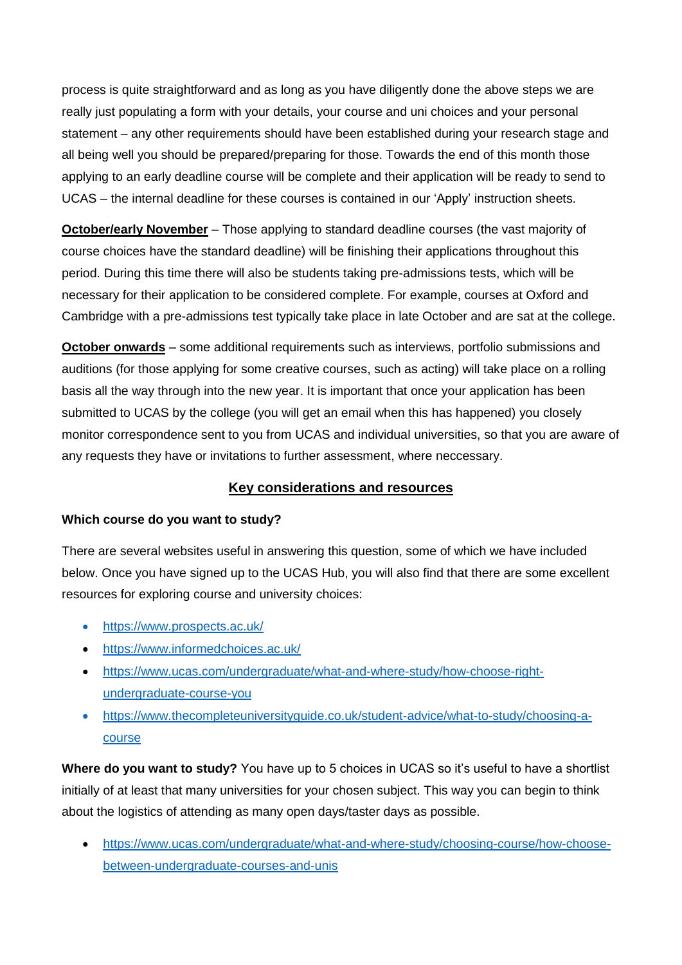process is quite straightforward and as long as you have diligently done the above steps we are really just populating a form with your details, your course and uni choices and your personal statement – any other requirements should have been established during your research stage and all being well you should be prepared/preparing for those. Towards the end of this month those applying to an early deadline course will be complete and their application will be ready to send to UCAS – the internal deadline for these courses is contained in our 'Apply' instruction sheets.

**October/early November** – Those applying to standard deadline courses (the vast majority of course choices have the standard deadline) will be finishing their applications throughout this period. During this time there will also be students taking pre-admissions tests, which will be necessary for their application to be considered complete. For example, courses at Oxford and Cambridge with a pre-admissions test typically take place in late October and are sat at the college.

**October onwards** – some additional requirements such as interviews, portfolio submissions and auditions (for those applying for some creative courses, such as acting) will take place on a rolling basis all the way through into the new year. It is important that once your application has been submitted to UCAS by the college (you will get an email when this has happened) you closely monitor correspondence sent to you from UCAS and individual universities, so that you are aware of any requests they have or invitations to further assessment, where neccessary.

# **Key considerations and resources**

### **Which course do you want to study?**

There are several websites useful in answering this question, some of which we have included below. Once you have signed up to the UCAS Hub, you will also find that there are some excellent resources for exploring course and university choices:

- <https://www.prospects.ac.uk/>
- <https://www.informedchoices.ac.uk/>
- [https://www.ucas.com/undergraduate/what-and-where-study/how-choose-right](https://www.ucas.com/undergraduate/what-and-where-study/how-choose-right-undergraduate-course-you)[undergraduate-course-you](https://www.ucas.com/undergraduate/what-and-where-study/how-choose-right-undergraduate-course-you)
- [https://www.thecompleteuniversityguide.co.uk/student-advice/what-to-study/choosing-a](https://www.thecompleteuniversityguide.co.uk/student-advice/what-to-study/choosing-a-course)[course](https://www.thecompleteuniversityguide.co.uk/student-advice/what-to-study/choosing-a-course)

**Where do you want to study?** You have up to 5 choices in UCAS so it's useful to have a shortlist initially of at least that many universities for your chosen subject. This way you can begin to think about the logistics of attending as many open days/taster days as possible.

 [https://www.ucas.com/undergraduate/what-and-where-study/choosing-course/how-choose](https://www.ucas.com/undergraduate/what-and-where-study/choosing-course/how-choose-between-undergraduate-courses-and-unis)[between-undergraduate-courses-and-unis](https://www.ucas.com/undergraduate/what-and-where-study/choosing-course/how-choose-between-undergraduate-courses-and-unis)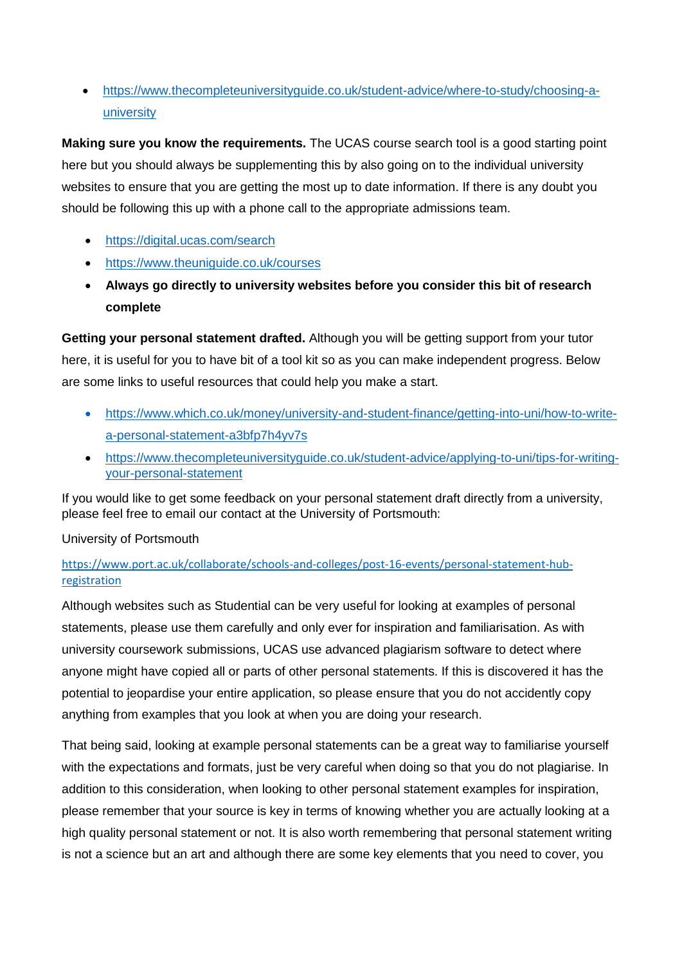[https://www.thecompleteuniversityguide.co.uk/student-advice/where-to-study/choosing-a](https://www.thecompleteuniversityguide.co.uk/student-advice/where-to-study/choosing-a-university)[university](https://www.thecompleteuniversityguide.co.uk/student-advice/where-to-study/choosing-a-university)

**Making sure you know the requirements.** The UCAS course search tool is a good starting point here but you should always be supplementing this by also going on to the individual university websites to ensure that you are getting the most up to date information. If there is any doubt you should be following this up with a phone call to the appropriate admissions team.

- <https://digital.ucas.com/search>
- <https://www.theuniguide.co.uk/courses>
- **Always go directly to university websites before you consider this bit of research complete**

**Getting your personal statement drafted.** Although you will be getting support from your tutor here, it is useful for you to have bit of a tool kit so as you can make independent progress. Below are some links to useful resources that could help you make a start.

- [https://www.which.co.uk/money/university-and-student-finance/getting-into-uni/how-to-write](https://www.which.co.uk/money/university-and-student-finance/getting-into-uni/how-to-write-a-personal-statement-a3bfp7h4yv7s)[a-personal-statement-a3bfp7h4yv7s](https://www.which.co.uk/money/university-and-student-finance/getting-into-uni/how-to-write-a-personal-statement-a3bfp7h4yv7s)
- [https://www.thecompleteuniversityguide.co.uk/student-advice/applying-to-uni/tips-for-writing](https://www.thecompleteuniversityguide.co.uk/student-advice/applying-to-uni/tips-for-writing-your-personal-statement)[your-personal-statement](https://www.thecompleteuniversityguide.co.uk/student-advice/applying-to-uni/tips-for-writing-your-personal-statement)

If you would like to get some feedback on your personal statement draft directly from a university, please feel free to email our contact at the University of Portsmouth:

University of Portsmouth

# [https://www.port.ac.uk/collaborate/schools-and-colleges/post-16-events/personal-statement-hub](https://www.port.ac.uk/collaborate/schools-and-colleges/post-16-events/personal-statement-hub-registration)[registration](https://www.port.ac.uk/collaborate/schools-and-colleges/post-16-events/personal-statement-hub-registration)

Although websites such as Studential can be very useful for looking at examples of personal statements, please use them carefully and only ever for inspiration and familiarisation. As with university coursework submissions, UCAS use advanced plagiarism software to detect where anyone might have copied all or parts of other personal statements. If this is discovered it has the potential to jeopardise your entire application, so please ensure that you do not accidently copy anything from examples that you look at when you are doing your research.

That being said, looking at example personal statements can be a great way to familiarise yourself with the expectations and formats, just be very careful when doing so that you do not plagiarise. In addition to this consideration, when looking to other personal statement examples for inspiration, please remember that your source is key in terms of knowing whether you are actually looking at a high quality personal statement or not. It is also worth remembering that personal statement writing is not a science but an art and although there are some key elements that you need to cover, you